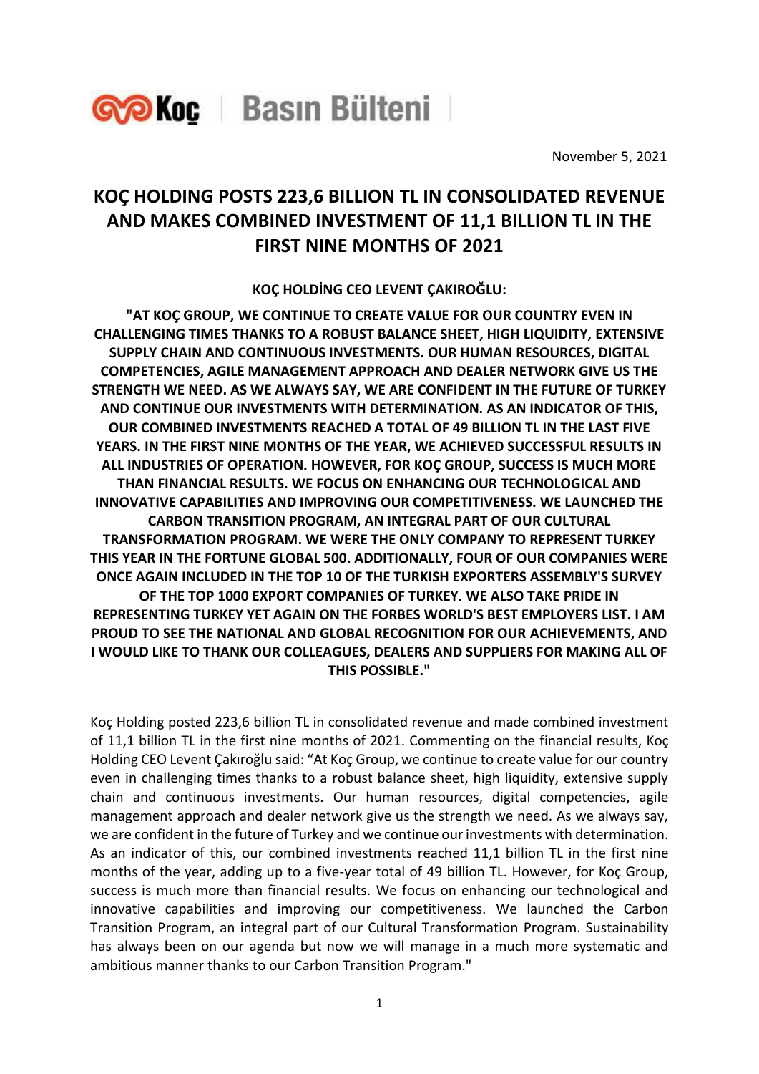

November 5, 2021

## **KOÇ HOLDING POSTS 223,6 BILLION TL IN CONSOLIDATED REVENUE AND MAKES COMBINED INVESTMENT OF 11,1 BILLION TL IN THE FIRST NINE MONTHS OF 2021**

**KOÇ HOLDİNG CEO LEVENT ÇAKIROĞLU:** 

**"AT KOÇ GROUP, WE CONTINUE TO CREATE VALUE FOR OUR COUNTRY EVEN IN CHALLENGING TIMES THANKS TO A ROBUST BALANCE SHEET, HIGH LIQUIDITY, EXTENSIVE SUPPLY CHAIN AND CONTINUOUS INVESTMENTS. OUR HUMAN RESOURCES, DIGITAL COMPETENCIES, AGILE MANAGEMENT APPROACH AND DEALER NETWORK GIVE US THE STRENGTH WE NEED. AS WE ALWAYS SAY, WE ARE CONFIDENT IN THE FUTURE OF TURKEY AND CONTINUE OUR INVESTMENTS WITH DETERMINATION. AS AN INDICATOR OF THIS, OUR COMBINED INVESTMENTS REACHED A TOTAL OF 49 BILLION TL IN THE LAST FIVE YEARS. IN THE FIRST NINE MONTHS OF THE YEAR, WE ACHIEVED SUCCESSFUL RESULTS IN ALL INDUSTRIES OF OPERATION. HOWEVER, FOR KOÇ GROUP, SUCCESS IS MUCH MORE THAN FINANCIAL RESULTS. WE FOCUS ON ENHANCING OUR TECHNOLOGICAL AND INNOVATIVE CAPABILITIES AND IMPROVING OUR COMPETITIVENESS. WE LAUNCHED THE CARBON TRANSITION PROGRAM, AN INTEGRAL PART OF OUR CULTURAL TRANSFORMATION PROGRAM. WE WERE THE ONLY COMPANY TO REPRESENT TURKEY THIS YEAR IN THE FORTUNE GLOBAL 500. ADDITIONALLY, FOUR OF OUR COMPANIES WERE ONCE AGAIN INCLUDED IN THE TOP 10 OF THE TURKISH EXPORTERS ASSEMBLY'S SURVEY OF THE TOP 1000 EXPORT COMPANIES OF TURKEY. WE ALSO TAKE PRIDE IN REPRESENTING TURKEY YET AGAIN ON THE FORBES WORLD'S BEST EMPLOYERS LIST. I AM PROUD TO SEE THE NATIONAL AND GLOBAL RECOGNITION FOR OUR ACHIEVEMENTS, AND I WOULD LIKE TO THANK OUR COLLEAGUES, DEALERS AND SUPPLIERS FOR MAKING ALL OF THIS POSSIBLE."**

Koç Holding posted 223,6 billion TL in consolidated revenue and made combined investment of 11,1 billion TL in the first nine months of 2021. Commenting on the financial results, Koç Holding CEO Levent Çakıroğlu said: "At Koç Group, we continue to create value for our country even in challenging times thanks to a robust balance sheet, high liquidity, extensive supply chain and continuous investments. Our human resources, digital competencies, agile management approach and dealer network give us the strength we need. As we always say, we are confident in the future of Turkey and we continue our investments with determination. As an indicator of this, our combined investments reached 11,1 billion TL in the first nine months of the year, adding up to a five-year total of 49 billion TL. However, for Koç Group, success is much more than financial results. We focus on enhancing our technological and innovative capabilities and improving our competitiveness. We launched the Carbon Transition Program, an integral part of our Cultural Transformation Program. Sustainability has always been on our agenda but now we will manage in a much more systematic and ambitious manner thanks to our Carbon Transition Program."